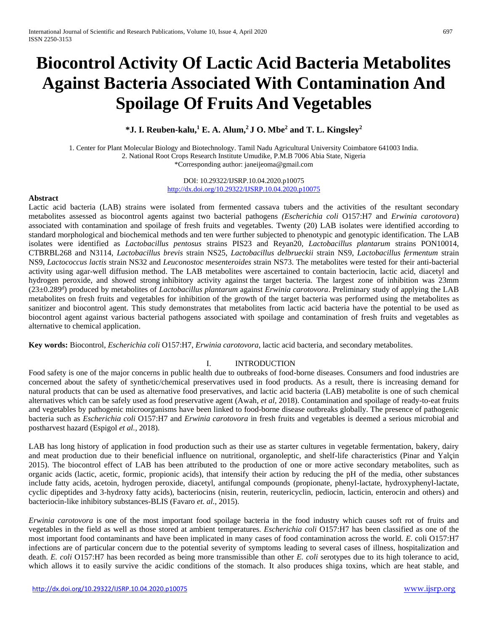# **Biocontrol Activity Of Lactic Acid Bacteria Metabolites Against Bacteria Associated With Contamination And Spoilage Of Fruits And Vegetables**

**\*J. I. Reuben-kalu,<sup>1</sup> E. A. Alum, <sup>2</sup>J O. Mbe<sup>2</sup> and T. L. Kingsley<sup>2</sup>**

1. Center for Plant Molecular Biology and Biotechnology. Tamil Nadu Agricultural University Coimbatore 641003 India. 2. National Root Crops Research Institute Umudike, P.M.B 7006 Abia State, Nigeria \*Corresponding author: janeijeoma@gmail.com

> DOI: 10.29322/IJSRP.10.04.2020.p10075 <http://dx.doi.org/10.29322/IJSRP.10.04.2020.p10075>

#### **Abstract**

Lactic acid bacteria (LAB) strains were isolated from fermented cassava tubers and the activities of the resultant secondary metabolites assessed as biocontrol agents against two bacterial pathogens *(Escherichia coli* O157:H7 and *Erwinia carotovora*) associated with contamination and spoilage of fresh fruits and vegetables. Twenty (20) LAB isolates were identified according to standard morphological and biochemical methods and ten were further subjected to phenotypic and genotypic identification. The LAB isolates were identified as *Lactobacillus pentosus* strains PIS23 and Reyan20, *Lactobacillus plantarum* strains PON10014, CTBRBL268 and N3114, *Lactobacillus brevis* strain NS25, *Lactobacillus delbrueckii* strain NS9, *Lactobacillus fermentum* strain NS9, *Lactococcus lactis* strain NS32 and *Leuconostoc mesenteroides* strain NS73. The metabolites were tested for their anti-bacterial activity using agar-well diffusion method. The LAB metabolites were ascertained to contain bacteriocin, lactic acid, diacetyl and hydrogen peroxide, and showed strong inhibitory activity against the target bacteria. The largest zone of inhibition was 23mm (23±0.289<sup>d</sup> ) produced by metabolites of *Lactobacillus plantarum* against *Erwinia carotovora*. Preliminary study of applying the LAB metabolites on fresh fruits and vegetables for inhibition of the growth of the target bacteria was performed using the metabolites as sanitizer and biocontrol agent. This study demonstrates that metabolites from lactic acid bacteria have the potential to be used as biocontrol agent against various bacterial pathogens associated with spoilage and contamination of fresh fruits and vegetables as alternative to chemical application.

**Key words:** Biocontrol, *Escherichia coli* O157:H7, *Erwinia carotovora*, lactic acid bacteria, and secondary metabolites.

## I. INTRODUCTION

Food safety is one of the major concerns in public health due to outbreaks of food-borne diseases. Consumers and food industries are concerned about the safety of synthetic/chemical preservatives used in food products. As a result, there is increasing demand for natural products that can be used as alternative food preservatives, and lactic acid bacteria (LAB) metabolite is one of such chemical alternatives which can be safely used as food preservative agent (Awah, *et al,* 2018). Contamination and spoilage of ready-to-eat fruits and vegetables by pathogenic microorganisms have been linked to food-borne disease outbreaks globally. The presence of pathogenic bacteria such as *Escherichia coli* O157:H7 and *Erwinia carotovora* in fresh fruits and vegetables is deemed a serious microbial and postharvest hazard (Espigol *et al.,* 2018).

LAB has long history of application in food production such as their use as starter cultures in vegetable fermentation, bakery, dairy and meat production due to their beneficial influence on nutritional, organoleptic, and shelf-life characteristics (Pinar and Yalçin 2015). The biocontrol effect of LAB has been attributed to the production of one or more active secondary metabolites, such as organic acids (lactic, acetic, formic, propionic acids), that intensify their action by reducing the pH of the media, other substances include fatty acids, acetoin, hydrogen peroxide, diacetyl, antifungal compounds (propionate, phenyl-lactate, hydroxyphenyl-lactate, cyclic dipeptides and 3-hydroxy fatty acids), bacteriocins (nisin, reuterin, reutericyclin, pediocin, lacticin, enterocin and others) and bacteriocin-like inhibitory substances-BLIS (Favaro *et. al.,* 2015).

*Erwinia carotovora* is one of the most important food spoilage bacteria in the food industry which causes soft rot of fruits and vegetables in the field as well as those stored at ambient temperatures. *Escherichia coli* O157:H7 has been classified as one of the most important food contaminants and have been implicated in many cases of food contamination across the world. *E*. coli O157:H7 infections are of particular concern due to the potential severity of symptoms leading to several cases of illness, hospitalization and death. *E. coli* O157:H7 has been recorded as being more transmissible than other *E. coli* serotypes due to its high tolerance to acid, which allows it to easily survive the acidic conditions of the stomach. It also produces shiga toxins, which are heat stable, and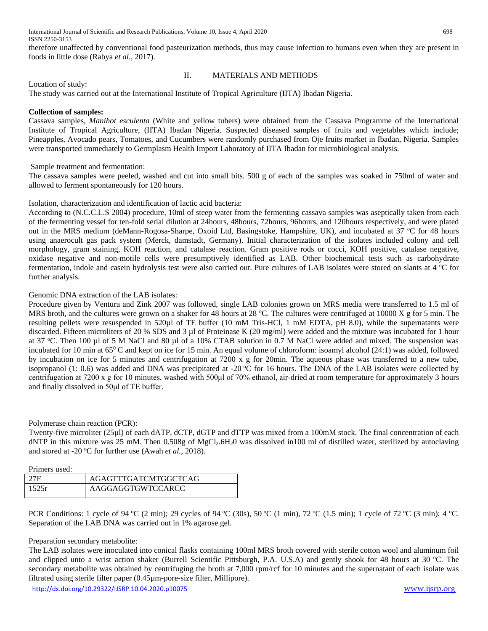therefore unaffected by conventional food pasteurization methods, thus may cause infection to humans even when they are present in foods in little dose (Rabya *et al.,* 2017).

Location of study:

# II. MATERIALS AND METHODS

The study was carried out at the International Institute of Tropical Agriculture (IITA) Ibadan Nigeria.

### **Collection of samples:**

Cassava samples, *Manihot esculenta* (White and yellow tubers) were obtained from the Cassava Programme of the International Institute of Tropical Agriculture, (IITA) Ibadan Nigeria. Suspected diseased samples of fruits and vegetables which include; Pineapples, Avocado pears, Tomatoes, and Cucumbers were randomly purchased from Oje fruits market in Ibadan, Nigeria. Samples were transported immediately to Germplasm Health Import Laboratory of IITA Ibadan for microbiological analysis.

Sample treatment and fermentation:

The cassava samples were peeled, washed and cut into small bits. 500 g of each of the samples was soaked in 750ml of water and allowed to ferment spontaneously for 120 hours.

#### Isolation, characterization and identification of lactic acid bacteria:

According to (N.C.C.L.S 2004) procedure, 10ml of steep water from the fermenting cassava samples was aseptically taken from each of the fermenting vessel for ten-fold serial dilution at 24hours, 48hours, 72hours, 96hours, and 120hours respectively, and were plated out in the MRS medium (deMann-Rogosa-Sharpe, Oxoid Ltd, Basingstoke, Hampshire, UK), and incubated at 37 °C for 48 hours using anaerocult gas pack system (Merck, damstadt, Germany). Initial characterization of the isolates included colony and cell morphology, gram staining, KOH reaction, and catalase reaction. Gram positive rods or cocci, KOH positive, catalase negative, oxidase negative and non-motile cells were presumptively identified as LAB. Other biochemical tests such as carbohydrate fermentation, indole and casein hydrolysis test were also carried out. Pure cultures of LAB isolates were stored on slants at  $4^{\circ}$ C for further analysis.

#### Genomic DNA extraction of the LAB isolates:

Procedure given by Ventura and Zink 2007 was followed, single LAB colonies grown on MRS media were transferred to 1.5 ml of MRS broth, and the cultures were grown on a shaker for 48 hours at 28 °C. The cultures were centrifuged at 10000 X g for 5 min. The resulting pellets were resuspended in 520µl of TE buffer (10 mM Tris-HCl, 1 mM EDTA, pH 8.0), while the supernatants were discarded. Fifteen microliters of 20 % SDS and 3 µl of Proteinase K (20 mg/ml) were added and the mixture was incubated for 1 hour at 37 °C. Then 100 µl of 5 M NaCl and 80 µl of a 10% CTAB solution in 0.7 M NaCl were added and mixed. The suspension was incubated for 10 min at  $65^{\circ}$ C and kept on ice for 15 min. An equal volume of chloroform: isoamyl alcohol (24:1) was added, followed by incubation on ice for 5 minutes and centrifugation at 7200 x g for 20min. The aqueous phase was transferred to a new tube, isopropanol (1: 0.6) was added and DNA was precipitated at -20  $^{\circ}$ C for 16 hours. The DNA of the LAB isolates were collected by centrifugation at 7200 x g for 10 minutes, washed with 500μl of 70% ethanol, air-dried at room temperature for approximately 3 hours and finally dissolved in 50μl of TE buffer.

## Polymerase chain reaction (PCR):

Twenty-five microliter (25µl) of each dATP, dCTP, dGTP and dTTP was mixed from a 100mM stock. The final concentration of each dNTP in this mixture was 25 mM. Then 0.508g of MgCl<sub>2</sub>.6H<sub>2</sub>0 was dissolved in100 ml of distilled water, sterilized by autoclaving and stored at -20 °C for further use (Awah *et al.*, 2018).

Primers used:

| 27F   | AGAGTTTGATCMTGGCTCAG |
|-------|----------------------|
| 1525r | AAGGAGGTGWTCCARCC    |

PCR Conditions: 1 cycle of 94 °C (2 min); 29 cycles of 94 °C (30s), 50 °C (1 min), 72 °C (1.5 min); 1 cycle of 72 °C (3 min); 4 °C. Separation of the LAB DNA was carried out in 1% agarose gel.

## Preparation secondary metabolite:

The LAB isolates were inoculated into conical flasks containing 100ml MRS broth covered with sterile cotton wool and aluminum foil and clipped unto a wrist action shaker (Burrell Scientific Pittsburgh, P.A. U.S.A) and gently shook for 48 hours at  $30^{\circ}$ C. The secondary metabolite was obtained by centrifuging the broth at 7,000 rpm/rcf for 10 minutes and the supernatant of each isolate was filtrated using sterile filter paper (0.45µm-pore-size filter, Millipore).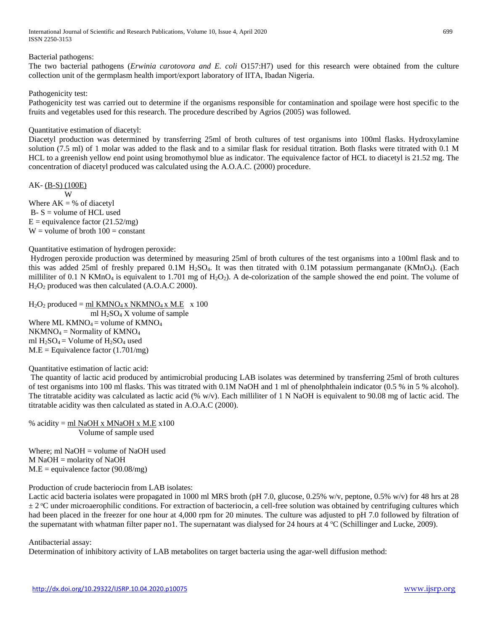International Journal of Scientific and Research Publications, Volume 10, Issue 4, April 2020 699 ISSN 2250-3153

## Bacterial pathogens:

The two bacterial pathogens (*Erwinia carotovora and E. coli* O157:H7) used for this research were obtained from the culture collection unit of the germplasm health import/export laboratory of IITA, Ibadan Nigeria.

Pathogenicity test:

Pathogenicity test was carried out to determine if the organisms responsible for contamination and spoilage were host specific to the fruits and vegetables used for this research. The procedure described by Agrios (2005) was followed.

#### Quantitative estimation of diacetyl:

Diacetyl production was determined by transferring 25ml of broth cultures of test organisms into 100ml flasks. Hydroxylamine solution (7.5 ml) of 1 molar was added to the flask and to a similar flask for residual titration. Both flasks were titrated with 0.1 M HCL to a greenish yellow end point using bromothymol blue as indicator. The equivalence factor of HCL to diacetyl is 21.52 mg. The concentration of diacetyl produced was calculated using the A.O.A.C. (2000) procedure.

AK- (B-S) (100E) W

Where  $AK = %$  of diacetyl  $B - S =$  volume of HCL used  $E =$  equivalence factor (21.52/mg)  $W =$  volume of broth  $100 =$  constant

Quantitative estimation of hydrogen peroxide:

Hydrogen peroxide production was determined by measuring 25ml of broth cultures of the test organisms into a 100ml flask and to this was added 25ml of freshly prepared 0.1M H<sub>2</sub>SO<sub>4</sub>. It was then titrated with 0.1M potassium permanganate (KMnO<sub>4</sub>). (Each milliliter of 0.1 N KMnO<sub>4</sub> is equivalent to 1.701 mg of  $H_2O_2$ ). A de-colorization of the sample showed the end point. The volume of H2O<sup>2</sup> produced was then calculated (A.O.A.C 2000).

 $H_2O_2$  produced = ml KMNO<sub>4</sub> x NKMNO<sub>4</sub> x M.E x 100 ml  $H_2SO_4 X$  volume of sample Where ML KMNO<sub>4</sub> = volume of KMNO<sub>4</sub>  $NKMNO<sub>4</sub> = Normality of KMNO<sub>4</sub>$ ml  $H_2SO_4 =$  Volume of  $H_2SO_4$  used  $M.E = Equivalence factor (1.701/mg)$ 

Quantitative estimation of lactic acid:

The quantity of lactic acid produced by antimicrobial producing LAB isolates was determined by transferring 25ml of broth cultures of test organisms into 100 ml flasks. This was titrated with 0.1M NaOH and 1 ml of phenolphthalein indicator (0.5 % in 5 % alcohol). The titratable acidity was calculated as lactic acid  $(\% w/v)$ . Each milliliter of 1 N NaOH is equivalent to 90.08 mg of lactic acid. The titratable acidity was then calculated as stated in A.O.A.C (2000).

% acidity =  $ml$  NaOH x MNaOH x M.E x100 Volume of sample used

Where; ml NaOH = volume of NaOH used M NaOH = molarity of NaOH  $M.E =$  equivalence factor (90.08/mg)

Production of crude bacteriocin from LAB isolates:

Lactic acid bacteria isolates were propagated in 1000 ml MRS broth (pH 7.0, glucose, 0.25% w/v, peptone, 0.5% w/v) for 48 hrs at 28  $\pm 2$  °C under microaerophilic conditions. For extraction of bacteriocin, a cell-free solution was obtained by centrifuging cultures which had been placed in the freezer for one hour at 4,000 rpm for 20 minutes. The culture was adjusted to pH 7.0 followed by filtration of the supernatant with whatman filter paper no1. The supernatant was dialysed for 24 hours at  $4 \degree$ C (Schillinger and Lucke, 2009).

#### Antibacterial assay:

Determination of inhibitory activity of LAB metabolites on target bacteria using the agar-well diffusion method: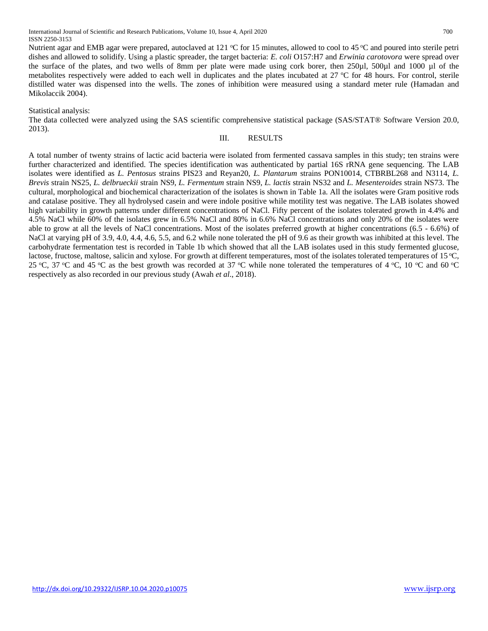Nutrient agar and EMB agar were prepared, autoclaved at 121 °C for 15 minutes, allowed to cool to 45 °C and poured into sterile petri dishes and allowed to solidify. Using a plastic spreader, the target bacteria: *E. coli* O157:H7 and *Erwinia carotovora* were spread over the surface of the plates, and two wells of 8mm per plate were made using cork borer, then 250µl, 500µl and 1000 µl of the metabolites respectively were added to each well in duplicates and the plates incubated at  $27 \degree C$  for 48 hours. For control, sterile distilled water was dispensed into the wells. The zones of inhibition were measured using a standard meter rule (Hamadan and Mikolaccik 2004).

Statistical analysis:

The data collected were analyzed using the SAS scientific comprehensive statistical package (SAS/STAT® Software Version 20.0, 2013).

#### III. RESULTS

A total number of twenty strains of lactic acid bacteria were isolated from fermented cassava samples in this study; ten strains were further characterized and identified. The species identification was authenticated by partial 16S rRNA gene sequencing. The LAB isolates were identified as *L. Pentosus* strains PIS23 and Reyan20, *L. Plantarum* strains PON10014, CTBRBL268 and N3114, *L. Brevis* strain NS25, *L. delbrueckii* strain NS9, *L. Fermentum* strain NS9, *L. lactis* strain NS32 and *L. Mesenteroides* strain NS73. The cultural, morphological and biochemical characterization of the isolates is shown in Table 1a. All the isolates were Gram positive rods and catalase positive. They all hydrolysed casein and were indole positive while motility test was negative. The LAB isolates showed high variability in growth patterns under different concentrations of NaCl. Fifty percent of the isolates tolerated growth in 4.4% and 4.5% NaCl while 60% of the isolates grew in 6.5% NaCl and 80% in 6.6% NaCl concentrations and only 20% of the isolates were able to grow at all the levels of NaCl concentrations. Most of the isolates preferred growth at higher concentrations (6.5 - 6.6%) of NaCl at varying pH of 3.9, 4.0, 4.4, 4.6, 5.5, and 6.2 while none tolerated the pH of 9.6 as their growth was inhibited at this level. The carbohydrate fermentation test is recorded in Table 1b which showed that all the LAB isolates used in this study fermented glucose, lactose, fructose, maltose, salicin and xylose. For growth at different temperatures, most of the isolates tolerated temperatures of 15 °C, 25 °C, 37 °C and 45 °C as the best growth was recorded at 37 °C while none tolerated the temperatures of 4 °C, 10 °C and 60 °C respectively as also recorded in our previous study (Awah *et al*., 2018).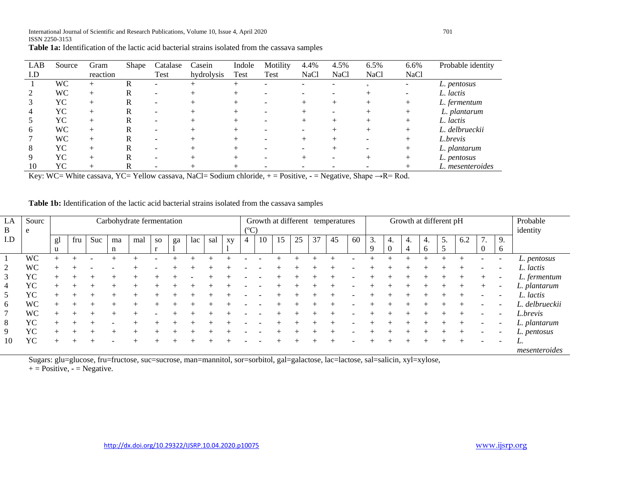| LAB | Source | Gram     | Shape | Catalase | Casein     | Indole | Motility | 4.4%        | 4.5% | 6.5%        | 6.6%        | Probable identity |
|-----|--------|----------|-------|----------|------------|--------|----------|-------------|------|-------------|-------------|-------------------|
| I.D |        | reaction |       | Test     | hydrolysis | Test   | Test     | <b>NaCl</b> | NaCl | <b>NaCl</b> | <b>NaCl</b> |                   |
|     | WС     |          | R     |          |            |        |          |             |      |             | -           | L. pentosus       |
|     | WС     |          | R     |          |            |        |          |             |      |             |             | L. lactis         |
|     | YС     |          | R     |          |            |        |          |             |      |             |             | L. fermentum      |
|     | YС     |          | R     |          |            |        |          |             |      |             |             | L. plantarum      |
|     | YC     |          | R     |          |            |        |          |             |      |             |             | L. lactis         |
| 6   | WC     |          | R     |          |            |        |          |             |      |             |             | L. delbrueckii    |
|     | WC     | $^+$     | R     |          |            |        |          |             |      |             |             | L.brevis          |
| 8   | YС     |          | R     |          |            |        |          |             |      |             |             | L. plantarum      |
| 9   | YС     |          | R     |          |            |        |          |             |      |             |             | L. pentosus       |
| 10  | YС     |          |       |          |            |        |          |             |      |             |             | L. mesenteroides  |

**Table 1a:** Identification of the lactic acid bacterial strains isolated from the cassava samples

Key: WC= White cassava, YC= Yellow cassava, NaCl= Sodium chloride, + = Positive, **-** = Negative, Shape →R= Rod.

| <b>Table 1b:</b> Identification of the lactic acid bacterial strains isolated from the cassava samples |  |
|--------------------------------------------------------------------------------------------------------|--|
|--------------------------------------------------------------------------------------------------------|--|

| LA<br>B | Sourc<br>e | Carbohydrate fermentation |     |     |         |     |                        |    | Growth at different temperatures<br>$({}^{\circ}C)$ |     |    |   |    |    | Growth at different pH |    |    |    |                                   |    |                      | Probable<br>identity |         |     |                |                          |                |
|---------|------------|---------------------------|-----|-----|---------|-----|------------------------|----|-----------------------------------------------------|-----|----|---|----|----|------------------------|----|----|----|-----------------------------------|----|----------------------|----------------------|---------|-----|----------------|--------------------------|----------------|
| I.D     |            | gl<br>u                   | fru | Suc | ma<br>n | mal | <b>SO</b><br>$\bullet$ | ga | lac                                                 | sal | XV | 4 | 10 | 15 | 25                     | 37 | 45 | 60 | $\bigcap$<br>$\mathfrak{I}.$<br>9 | 4. | 4.<br>$\overline{4}$ | 4.<br>6              | 5.<br>5 | 6.2 | $\overline{ }$ | 9.<br>6                  |                |
|         | WC         |                           |     |     |         |     |                        |    |                                                     |     |    |   |    |    |                        |    |    |    |                                   |    |                      |                      |         |     |                |                          | L. pentosus    |
| 2       | WC         |                           |     |     |         |     |                        |    |                                                     |     |    |   |    |    |                        |    |    |    |                                   |    |                      |                      |         |     |                |                          | L. lactis      |
| 3       | YC         |                           |     |     |         |     |                        |    |                                                     |     |    |   |    |    |                        |    |    |    |                                   |    |                      |                      |         |     |                |                          | L. fermentum   |
| 4       | YC         |                           |     |     |         |     |                        |    |                                                     |     |    |   |    |    |                        |    |    |    |                                   |    |                      |                      |         |     |                | -                        | L. plantarum   |
| 5       | YC         |                           |     |     |         |     |                        |    |                                                     |     |    |   |    |    |                        |    |    |    |                                   |    |                      |                      |         |     |                |                          | L. lactis      |
| 6       | <b>WC</b>  |                           |     |     |         |     |                        |    |                                                     |     |    |   |    |    |                        |    |    |    |                                   |    |                      |                      |         |     |                | $\overline{\phantom{0}}$ | L. delbrueckii |
|         | <b>WC</b>  |                           |     |     |         |     |                        |    |                                                     |     |    |   |    |    |                        |    |    |    |                                   |    |                      |                      |         |     |                |                          | L.brevis       |
| 8       | YC         |                           |     |     |         |     |                        |    |                                                     |     |    |   |    |    |                        |    |    |    |                                   |    |                      |                      |         |     |                |                          | L. plantarum   |
| 9       | YC         |                           |     |     |         |     |                        |    |                                                     |     |    |   |    |    |                        |    |    |    |                                   |    |                      |                      |         |     |                |                          | L. pentosus    |
| 10      | YC         |                           |     |     |         |     |                        |    |                                                     |     |    |   |    |    |                        |    |    |    |                                   |    |                      |                      |         |     |                |                          |                |
|         |            |                           |     |     |         |     |                        |    |                                                     |     |    |   |    |    |                        |    |    |    |                                   |    |                      |                      |         |     |                |                          | mesenteroides  |

Sugars: glu=glucose, fru=fructose, suc=sucrose, man=mannitol, sor=sorbitol, gal=galactose, lac=lactose, sal=salicin, xyl=xylose,

 $+$  = Positive,  $-$  = Negative.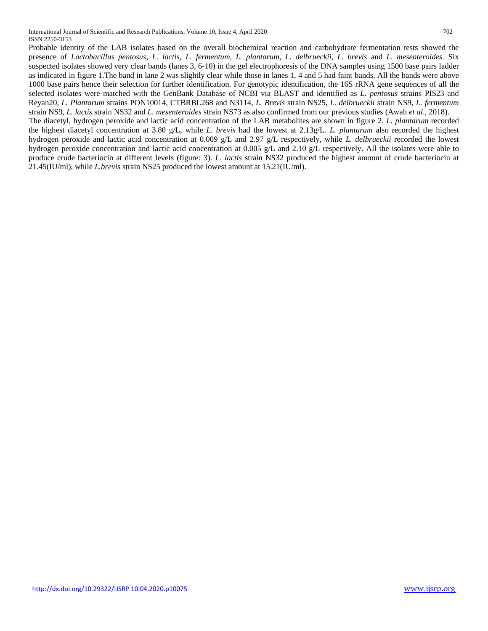International Journal of Scientific and Research Publications, Volume 10, Issue 4, April 2020 702 ISSN 2250-3153

Probable identity of the LAB isolates based on the overall biochemical reaction and carbohydrate fermentation tests showed the presence of *Lactobacillus pentosus, L. lactis, L. fermentum, L. plantarum, L. delbrueckii, L. brevis* and *L. mesenteroides.* Six suspected isolates showed very clear bands (lanes 3, 6-10) in the gel electrophoresis of the DNA samples using 1500 base pairs ladder as indicated in figure 1.The band in lane 2 was slightly clear while those in lanes 1, 4 and 5 had faint bands. All the bands were above 1000 base pairs hence their selection for further identification. For genotypic identification, the 16S rRNA gene sequences of all the selected isolates were matched with the GenBank Database of NCBI via BLAST and identified as *L. pentosus* strains PIS23 and Reyan20, *L. Plantarum* strains PON10014, CTBRBL268 and N3114, *L. Brevis* strain NS25, *L. delbrueckii* strain NS9, *L. fermentum*  strain NS9, *L. lactis* strain NS32 and *L. mesenteroides* strain NS73 as also confirmed from our previous studies (Awah *et al*., 2018).

The diacetyl, hydrogen peroxide and lactic acid concentration of the LAB metabolites are shown in figure 2. *L. plantarum* recorded the highest diacetyl concentration at 3.80 g/L, while *L. brevis* had the lowest at 2.13g/L. *L. plantarum* also recorded the highest hydrogen peroxide and lactic acid concentration at 0.009 g/L and 2.97 g/L respectively, while *L. delbrueckii* recorded the lowest hydrogen peroxide concentration and lactic acid concentration at 0.005 g/L and 2.10 g/L respectively. All the isolates were able to produce crude bacteriocin at different levels (figure: 3). *L. lactis* strain NS32 produced the highest amount of crude bacteriocin at 21.45(IU/ml), while *L.brevis* strain NS25 produced the lowest amount at 15.21(IU/ml).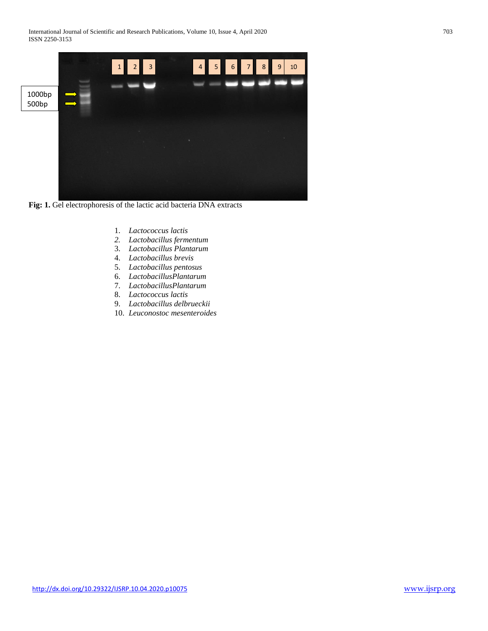

**Fig: 1.** Gel electrophoresis of the lactic acid bacteria DNA extracts

- 1. *Lactococcus lactis*
- *2. Lactobacillus fermentum*
- 3. *Lactobacillus Plantarum*
- 4. *Lactobacillus brevis*
- 5. *Lactobacillus pentosus*
- 6. *LactobacillusPlantarum*
- 7. *LactobacillusPlantarum*
- 8. *Lactococcus lactis*
- 9. *Lactobacillus delbrueckii*
- 10. *Leuconostoc mesenteroides*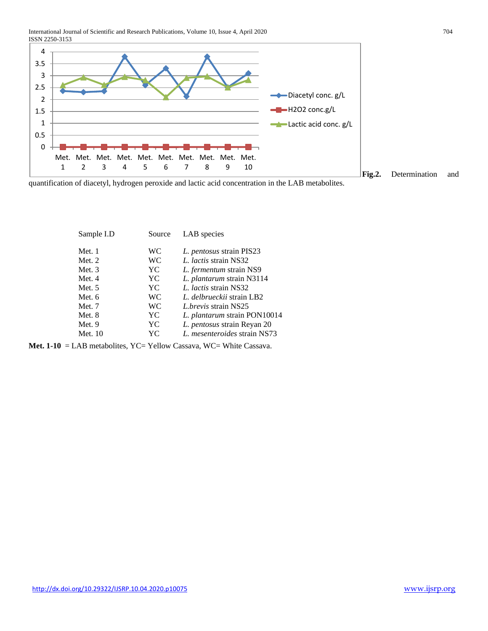International Journal of Scientific and Research Publications, Volume 10, Issue 4, April 2020 704 ISSN 2250-3153



**Fig.2.** Determination and

quantification of diacetyl, hydrogen peroxide and lactic acid concentration in the LAB metabolites.

| Sample I.D | Source    | LAB species                        |
|------------|-----------|------------------------------------|
| Met. 1     | <b>WC</b> | L. pentosus strain PIS23           |
| Met. $2$   | <b>WC</b> | <i>L. lactis</i> strain NS32       |
| Met. $3$   | YC        | L. fermentum strain NS9            |
| Met. 4     | YC        | L. plantarum strain N3114          |
| Met. $5$   | YC        | <i>L. lactis</i> strain NS32       |
| Met. 6     | <b>WC</b> | L. delbrueckii strain LB2          |
| Met. 7     | WC        | <i>L.brevis</i> strain NS25        |
| Met. 8     | YC        | L. plantarum strain PON10014       |
| Met. $9$   | YC        | <i>L. pentosus</i> strain Reyan 20 |
| Met. 10    | YС        | L. mesenteroides strain NS73       |

**Met. 1-10** = LAB metabolites, YC= Yellow Cassava, WC= White Cassava.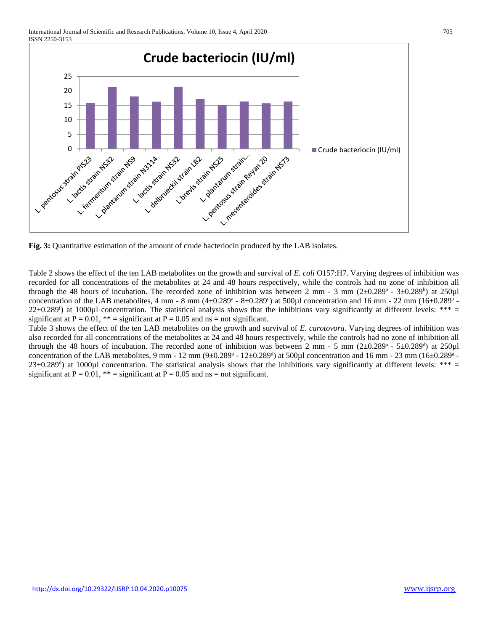

**Fig. 3:** Quantitative estimation of the amount of crude bacteriocin produced by the LAB isolates.

Table 2 shows the effect of the ten LAB metabolites on the growth and survival of *E. coli* O157:H7. Varying degrees of inhibition was recorded for all concentrations of the metabolites at 24 and 48 hours respectively, while the controls had no zone of inhibition all through the 48 hours of incubation. The recorded zone of inhibition was between 2 mm  $-$  3 mm (2 $\pm$ 0.289<sup>a</sup>  $-$  3 $\pm$ 0.289<sup>b</sup>) at 250 $\mu$ l concentration of the LAB metabolites, 4 mm - 8 mm  $(4\pm 0.289^a - 8\pm 0.289^d)$  at 500µl concentration and 16 mm - 22 mm  $(16\pm 0.289^a - 8\pm 0.289^a)$  $22\pm0.289$ <sup>f</sup>) at 1000µl concentration. The statistical analysis shows that the inhibitions vary significantly at different levels: \*\*\* = significant at  $P = 0.01$ , \*\* = significant at  $P = 0.05$  and ns = not significant.

Table 3 shows the effect of the ten LAB metabolites on the growth and survival of *E. carotovora*. Varying degrees of inhibition was also recorded for all concentrations of the metabolites at 24 and 48 hours respectively, while the controls had no zone of inhibition all through the 48 hours of incubation. The recorded zone of inhibition was between 2 mm - 5 mm  $(2\pm 0.289^a - 5\pm 0.289^d)$  at 250 $\mu$ l concentration of the LAB metabolites, 9 mm - 12 mm  $(9\pm 0.289^a - 12\pm 0.289^d)$  at 500µl concentration and 16 mm - 23 mm  $(16\pm 0.289^a - 12\pm 0.289^a)$  $23\pm0.289$ <sup>d</sup>) at 1000µl concentration. The statistical analysis shows that the inhibitions vary significantly at different levels: \*\*\* = significant at  $P = 0.01$ , \*\* = significant at  $P = 0.05$  and ns = not significant.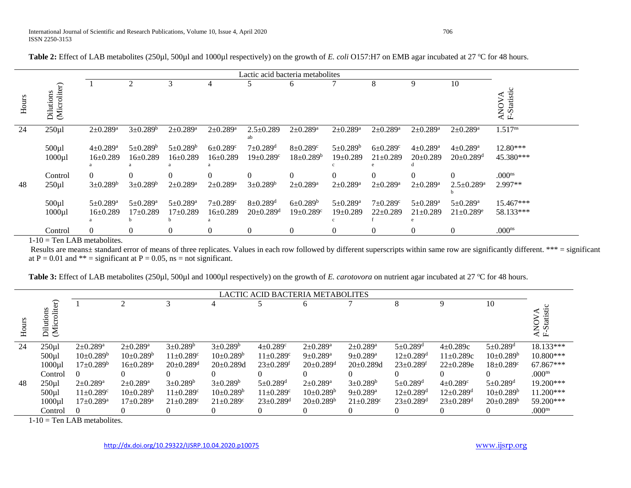|       | Lactic acid bacteria metabolites |                                              |                                              |                                     |                                              |                                                           |                                                    |                                         |                                              |                                              |                                                           |                                         |
|-------|----------------------------------|----------------------------------------------|----------------------------------------------|-------------------------------------|----------------------------------------------|-----------------------------------------------------------|----------------------------------------------------|-----------------------------------------|----------------------------------------------|----------------------------------------------|-----------------------------------------------------------|-----------------------------------------|
| Hours | (Microliter)<br>Dilutions        |                                              | $\overline{2}$                               | 3                                   | 4                                            |                                                           | 6                                                  | 7                                       | 8                                            | 9                                            | 10                                                        | <b>Statistic</b><br>ANOVA<br>F-Statisti |
| 24    | $250 \mu l$                      | $2 \pm 0.289^{\rm a}$                        | $3 \pm 0.289^b$                              | $2 \pm 0.289^{\rm a}$               | $2 \pm 0.289^{\rm a}$                        | $2.5 \pm 0.289$                                           | $2 \pm 0.289^{\rm a}$                              | $2 \pm 0.289^{\rm a}$                   | $2 \pm 0.289^{\rm a}$                        | $2 \pm 0.289^a$                              | $2 \pm 0.289^{\rm a}$                                     | $1.517^{ns}$                            |
|       | $500 \mu l$<br>$1000 \mu l$      | $4 \pm 0.289^{\rm a}$<br>$16 \pm 0.289$      | $5 \pm 0.289^b$<br>$16 \pm 0.289$            | $5 \pm 0.289^b$<br>$16 \pm 0.289$   | $6 \pm 0.289$ <sup>c</sup><br>$16 \pm 0.289$ | $7 \pm 0.289$ <sup>d</sup><br>$19 \pm 0.289$ <sup>c</sup> | $8 \pm 0.289$ <sup>c</sup><br>$18 \pm 0.289^b$     | $5 \pm 0.289^b$<br>$19 \pm 0.289$       | $6 \pm 0.289$ <sup>c</sup><br>$21 \pm 0.289$ | $4 \pm 0.289$ <sup>a</sup><br>$20 \pm 0.289$ | $4 \pm 0.289^{\text{a}}$<br>$20 \pm 0.289$ <sup>d</sup>   | $12.80***$<br>45.380***                 |
| 48    | Control<br>$250 \mu l$           | $\Omega$<br>$3 \pm 0.289^b$                  | $\Omega$<br>$3 \pm 0.289^b$                  | $2 \pm 0.289^a$                     | $\Omega$<br>$2 \pm 0.289^{\rm a}$            | $\Omega$<br>$3 \pm 0.289^b$                               | $\Omega$<br>$2 \pm 0.289^{\rm a}$                  | $\Omega$<br>$2 \pm 0.289^{\rm a}$       | $\Omega$<br>$2 \pm 0.289^a$                  | $\Omega$<br>$2 \pm 0.289^{\text{a}}$         | $\Omega$<br>$2.5 \pm 0.289$ <sup>a</sup>                  | .000 <sup>ns</sup><br>2.997**           |
|       | $500 \mu l$<br>$1000 \mu l$      | $5 \pm 0.289$ <sup>a</sup><br>$16 \pm 0.289$ | $5 \pm 0.289$ <sup>a</sup><br>$17 \pm 0.289$ | $5 \pm 0.289^{\rm a}$<br>$17+0.289$ | $7 \pm 0.289$ <sup>c</sup><br>$16 \pm 0.289$ | $8 \pm 0.289$ <sup>d</sup><br>$20 \pm 0.289$ <sup>d</sup> | $6\pm0.289^{\rm b}$<br>$19 \pm 0.289$ <sup>c</sup> | $5 \pm 0.289^{\rm a}$<br>$19 \pm 0.289$ | $7 \pm 0.289$ <sup>c</sup><br>$22 \pm 0.289$ | $5 \pm 0.289$ <sup>a</sup><br>$21 \pm 0.289$ | $5 \pm 0.289$ <sup>a</sup><br>$21 \pm 0.289$ <sup>e</sup> | 15.467***<br>58.133***                  |
|       | Control                          | 0                                            | 0                                            | $\theta$                            | $\Omega$                                     | $\theta$                                                  | $\theta$                                           | $\theta$                                | $\theta$                                     | $\Omega$                                     | $\theta$                                                  | .000 <sup>ns</sup>                      |

**Table 2:** Effect of LAB metabolites (250µl, 500µl and 1000µl respectively) on the growth of *E. coli* O157:H7 on EMB agar incubated at 27 <sup>o</sup>C for 48 hours.

 $1-10$  = Ten LAB metabolites.

Results are means± standard error of means of three replicates. Values in each row followed by different superscripts within same row are significantly different. \*\*\* = significant at  $P = 0.01$  and \*\* = significant at  $P = 0.05$ , ns = not significant.

Table 3: Effect of LAB metabolites (250µl, 500µl and 1000µl respectively) on the growth of *E. carotovora* on nutrient agar incubated at 27 °C for 48 hours.

|    | LACTIC ACID BACTERIA METABOLITES            |                             |                          |                             |                             |                             |                             |                             |                             |                             |                             |                                               |  |  |
|----|---------------------------------------------|-----------------------------|--------------------------|-----------------------------|-----------------------------|-----------------------------|-----------------------------|-----------------------------|-----------------------------|-----------------------------|-----------------------------|-----------------------------------------------|--|--|
|    | roliter)<br>ons<br>Ě<br>ä<br>$\mathbb{R}^2$ |                             | ◠                        |                             |                             |                             |                             |                             |                             |                             | 10                          | Statisti<br>$\mathcal{L}$<br>NON<br>$\vec{F}$ |  |  |
| 24 | $250 \mu l$                                 | $2 \pm 0.289^{\text{a}}$    | $2 \pm 0.289^{\text{a}}$ | $3+0.289^b$                 | $3+0.289^b$                 | $4 \pm 0.289$ <sup>c</sup>  | $2+0.289$ <sup>a</sup>      | $2\pm 0.289^{\rm a}$        | $5+0.289$ <sup>d</sup>      | $4\pm 0.289c$               | $5 \pm 0.289$ <sup>d</sup>  | 18.133***                                     |  |  |
|    | 500 <sub>µ</sub>                            | $10\pm0.289^{\rm b}$        | $10\pm0.289^{\rm b}$     | $11 \pm 0.289$ <sup>c</sup> | $10\pm0.289^{\rm b}$        | $11 \pm 0.289$ <sup>c</sup> | $9+0.289^a$                 | $9 \pm 0.289$ <sup>a</sup>  | $12 \pm 0.289$ <sup>d</sup> | $11\pm0.289c$               | $10\pm0.289^{\rm b}$        | 10.800***                                     |  |  |
|    | 1000 <sub>µ</sub>                           | $17 \pm 0.289^{\rm b}$      | $16+0.289$ <sup>a</sup>  | $20 \pm 0.289$ <sup>d</sup> | $20+0.289d$                 | $23 \pm 0.289$ <sup>f</sup> | $20 \pm 0.289$ <sup>d</sup> | $20+0.289d$                 | $23 \pm 0.289$ <sup>f</sup> | $22+0.289e$                 | $18 \pm 0.289$ <sup>c</sup> | 67.867***                                     |  |  |
|    | Control                                     | $\Omega$                    | $\Omega$                 | 0                           |                             |                             |                             |                             |                             |                             | $\Omega$                    | .000 <sub>ns</sub>                            |  |  |
| 48 | $250 \mu l$                                 | $2 \pm 0.289^{\rm a}$       | $2 \pm 0.289^{\rm a}$    | $3 \pm 0.289^b$             | $3\pm0.289^{\rm b}$         | $5 \pm 0.289$ <sup>d</sup>  | $2 \pm 0.289^{\rm a}$       | $3\pm0.289^{\rm b}$         | $5 \pm 0.289$ <sup>d</sup>  | $4 \pm 0.289$ <sup>c</sup>  | $5 \pm 0.289$ <sup>d</sup>  | $19.200***$                                   |  |  |
|    | 500 <sub>µ</sub>                            | $11 \pm 0.289$ <sup>c</sup> | $10\pm0.289^{\rm b}$     | $11 \pm 0.289$ <sup>c</sup> | $10+0.289b$                 | $11 \pm 0.289$ <sup>c</sup> | $10\pm0.289^{\rm b}$        | $9+0.289$ <sup>a</sup>      | $12 \pm 0.289$ <sup>d</sup> | $12 \pm 0.289$ <sup>d</sup> | $10+0.289b$                 | $11.200***$                                   |  |  |
|    | 1000 <sub>µ</sub>                           | $17 \pm 0.289$ <sup>a</sup> | $17+0.289$ <sup>a</sup>  | $21 \pm 0.289$ <sup>c</sup> | $21 \pm 0.289$ <sup>c</sup> | $23 \pm 0.289$ <sup>d</sup> | $20 \pm 0.289^b$            | $21 \pm 0.289$ <sup>c</sup> | $23 \pm 0.289$ <sup>d</sup> | $23 \pm 0.289$ <sup>d</sup> | $20 \pm 0.289^b$            | $59.200***$                                   |  |  |
|    | Control                                     | $\theta$                    | $\theta$                 |                             |                             |                             |                             |                             |                             |                             | $\theta$                    | .000 <sup>ns</sup>                            |  |  |

 $1-10$  = Ten LAB metabolites.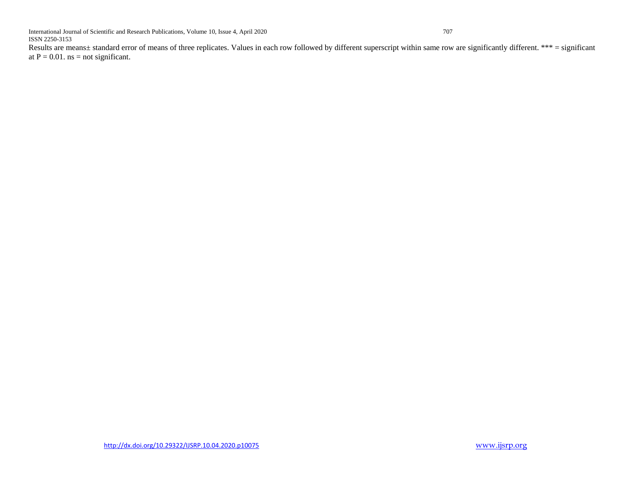Results are means± standard error of means of three replicates. Values in each row followed by different superscript within same row are significantly different. \*\*\* = significant at  $P = 0.01$ . ns = not significant.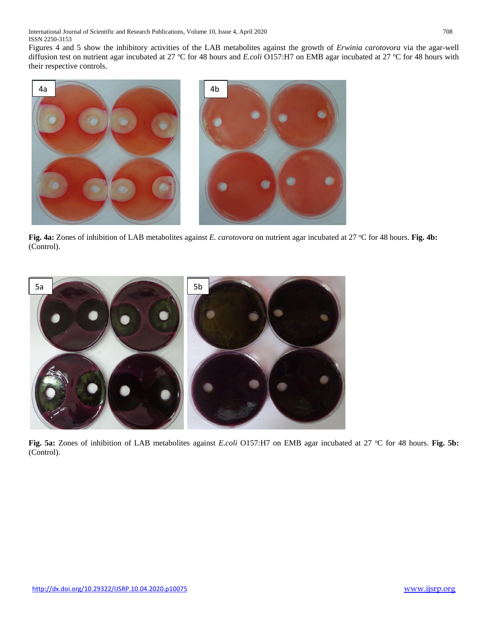Figures 4 and 5 show the inhibitory activities of the LAB metabolites against the growth of *Erwinia carotovora* via the agar-well diffusion test on nutrient agar incubated at 27 °C for 48 hours and *E.coli* O157:H7 on EMB agar incubated at 27 °C for 48 hours with their respective controls.



**Fig. 4a:** Zones of inhibition of LAB metabolites against *E. carotovora* on nutrient agar incubated at 27 °C for 48 hours. **Fig. 4b:** (Control).



**Fig. 5a:** Zones of inhibition of LAB metabolites against *E.coli* O157:H7 on EMB agar incubated at 27 °C for 48 hours. **Fig. 5b:** (Control).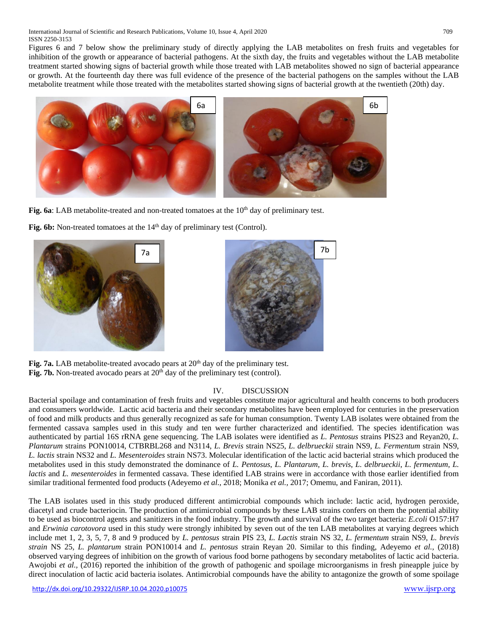Figures 6 and 7 below show the preliminary study of directly applying the LAB metabolites on fresh fruits and vegetables for inhibition of the growth or appearance of bacterial pathogens. At the sixth day, the fruits and vegetables without the LAB metabolite treatment started showing signs of bacterial growth while those treated with LAB metabolites showed no sign of bacterial appearance or growth. At the fourteenth day there was full evidence of the presence of the bacterial pathogens on the samples without the LAB metabolite treatment while those treated with the metabolites started showing signs of bacterial growth at the twentieth (20th) day.



**Fig. 6a**: LAB metabolite-treated and non-treated tomatoes at the 10<sup>th</sup> day of preliminary test.

Fig. 6b: Non-treated tomatoes at the 14<sup>th</sup> day of preliminary test (Control).





Fig. 7a. LAB metabolite-treated avocado pears at 20<sup>th</sup> day of the preliminary test. Fig. 7b. Non-treated avocado pears at 20<sup>th</sup> day of the preliminary test (control).

## IV. DISCUSSION

Bacterial spoilage and contamination of fresh fruits and vegetables constitute major agricultural and health concerns to both producers and consumers worldwide. Lactic acid bacteria and their secondary metabolites have been employed for centuries in the preservation of food and milk products and thus generally recognized as safe for human consumption. Twenty LAB isolates were obtained from the fermented cassava samples used in this study and ten were further characterized and identified. The species identification was authenticated by partial 16S rRNA gene sequencing. The LAB isolates were identified as *L. Pentosus* strains PIS23 and Reyan20, *L. Plantarum* strains PON10014, CTBRBL268 and N3114, *L. Brevis* strain NS25, *L. delbrueckii* strain NS9, *L. Fermentum* strain NS9, *L. lactis* strain NS32 and *L. Mesenteroides* strain NS73. Molecular identification of the lactic acid bacterial strains which produced the metabolites used in this study demonstrated the dominance of *L. Pentosus*, *L. Plantarum*, *L. brevis*, *L. delbrueckii*, *L. fermentum*, *L. lactis* and *L. mesenteroides* in fermented cassava. These identified LAB strains were in accordance with those earlier identified from similar traditional fermented food products (Adeyemo *et al.,* 2018; Monika *et al.,* 2017; Omemu, and Faniran, 2011).

The LAB isolates used in this study produced different antimicrobial compounds which include: lactic acid, hydrogen peroxide, diacetyl and crude bacteriocin. The production of antimicrobial compounds by these LAB strains confers on them the potential ability to be used as biocontrol agents and sanitizers in the food industry. The growth and survival of the two target bacteria: *E.coli* O157:H7 and *Erwinia carotovora* used in this study were strongly inhibited by seven out of the ten LAB metabolites at varying degrees which include met 1, 2, 3, 5, 7, 8 and 9 produced by *L. pentosus* strain PIS 23, *L. Lactis* strain NS 32, *L. fermentum* strain NS9, *L. brevis strain* NS 25*, L. plantarum* strain PON10014 and *L. pentosus* strain Reyan 20. Similar to this finding, Adeyemo *et al.,* (2018) observed varying degrees of inhibition on the growth of various food borne pathogens by secondary metabolites of lactic acid bacteria. Awojobi *et al.,* (2016) reported the inhibition of the growth of pathogenic and spoilage microorganisms in fresh pineapple juice by direct inoculation of lactic acid bacteria isolates. Antimicrobial compounds have the ability to antagonize the growth of some spoilage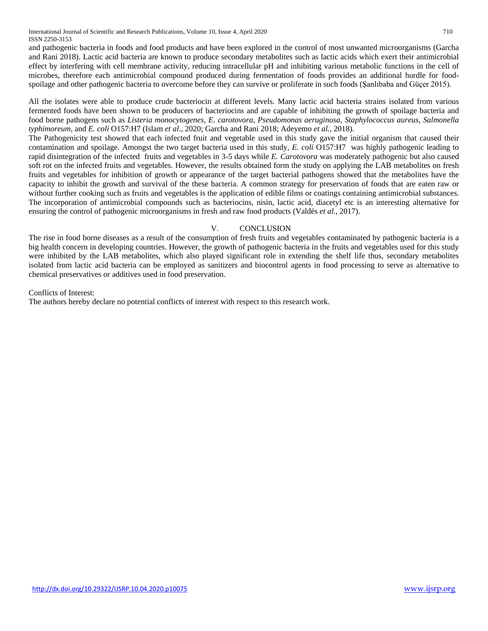International Journal of Scientific and Research Publications, Volume 10, Issue 4, April 2020 710 ISSN 2250-3153

and pathogenic bacteria in foods and food products and have been explored in the control of most unwanted microorganisms (Garcha and Rani 2018). Lactic acid bacteria are known to produce secondary metabolites such as lactic acids which exert their antimicrobial effect by interfering with cell membrane activity, reducing intracellular pH and inhibiting various metabolic functions in the cell of microbes, therefore each antimicrobial compound produced during fermentation of foods provides an additional hurdle for foodspoilage and other pathogenic bacteria to overcome before they can survive or proliferate in such foods (Şanlıbaba and Güçer 2015).

All the isolates were able to produce crude bacteriocin at different levels. Many lactic acid bacteria strains isolated from various fermented foods have been shown to be producers of bacteriocins and are capable of inhibiting the growth of spoilage bacteria and food borne pathogens such as *Listeria monocytogenes, E. carotovora, Pseudomonas aeruginosa, Staphylococcus aureus*, *Salmonella typhimoreum,* and *E. coli* O157:H7 (Islam *et al*., 2020; Garcha and Rani 2018; Adeyemo *et al.,* 2018).

The Pathogenicity test showed that each infected fruit and vegetable used in this study gave the initial organism that caused their contamination and spoilage. Amongst the two target bacteria used in this study, *E. coli* O157:H7 was highly pathogenic leading to rapid disintegration of the infected fruits and vegetables in 3-5 days while *E. Carotovora* was moderately pathogenic but also caused soft rot on the infected fruits and vegetables. However, the results obtained form the study on applying the LAB metabolites on fresh fruits and vegetables for inhibition of growth or appearance of the target bacterial pathogens showed that the metabolites have the capacity to inhibit the growth and survival of the these bacteria. A common strategy for preservation of foods that are eaten raw or without further cooking such as fruits and vegetables is the application of edible films or coatings containing antimicrobial substances. The incorporation of antimicrobial compounds such as bacteriocins, nisin, lactic acid, diacetyl etc is an interesting alternative for ensuring the control of pathogenic microorganisms in fresh and raw food products (Valdés *et al.,* 2017).

#### V. CONCLUSION

The rise in food borne diseases as a result of the consumption of fresh fruits and vegetables contaminated by pathogenic bacteria is a big health concern in developing countries. However, the growth of pathogenic bacteria in the fruits and vegetables used for this study were inhibited by the LAB metabolites, which also played significant role in extending the shelf life thus, secondary metabolites isolated from lactic acid bacteria can be employed as sanitizers and biocontrol agents in food processing to serve as alternative to chemical preservatives or additives used in food preservation.

Conflicts of Interest:

The authors hereby declare no potential conflicts of interest with respect to this research work.